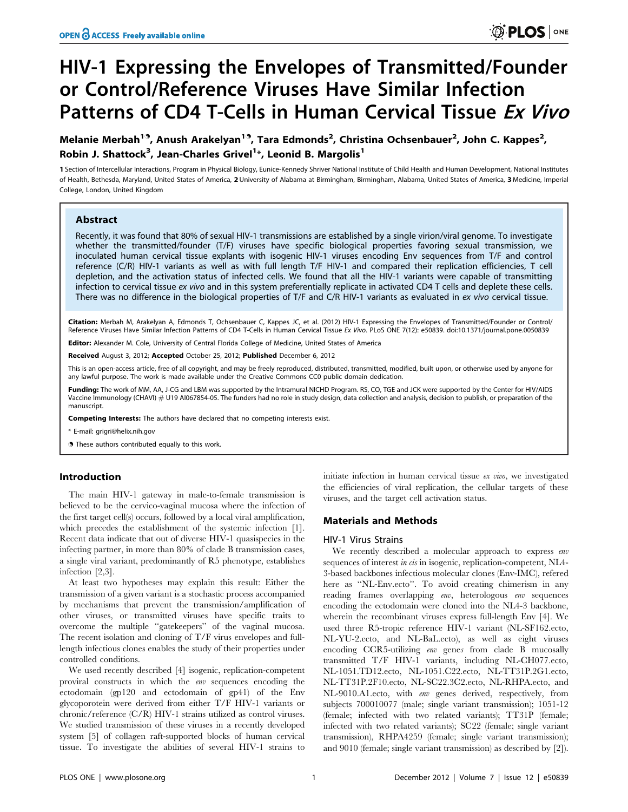# HIV-1 Expressing the Envelopes of Transmitted/Founder or Control/Reference Viruses Have Similar Infection Patterns of CD4 T-Cells in Human Cervical Tissue Ex Vivo

Melanie Merbah<sup>19</sup>, Anush Arakelyan<sup>19</sup>, Tara Edmonds<sup>2</sup>, Christina Ochsenbauer<sup>2</sup>, John C. Kappes<sup>2</sup>, Robin J. Shattock<sup>3</sup>, Jean-Charles Grivel<sup>1</sup>\*, Leonid B. Margolis<sup>1</sup>

1 Section of Intercellular Interactions, Program in Physical Biology, Eunice-Kennedy Shriver National Institute of Child Health and Human Development, National Institutes of Health, Bethesda, Maryland, United States of America, 2 University of Alabama at Birmingham, Birmingham, Alabama, United States of America, 3 Medicine, Imperial College, London, United Kingdom

# Abstract

Recently, it was found that 80% of sexual HIV-1 transmissions are established by a single virion/viral genome. To investigate whether the transmitted/founder (T/F) viruses have specific biological properties favoring sexual transmission, we inoculated human cervical tissue explants with isogenic HIV-1 viruses encoding Env sequences from T/F and control reference (C/R) HIV-1 variants as well as with full length T/F HIV-1 and compared their replication efficiencies, T cell depletion, and the activation status of infected cells. We found that all the HIV-1 variants were capable of transmitting infection to cervical tissue ex vivo and in this system preferentially replicate in activated CD4 T cells and deplete these cells. There was no difference in the biological properties of T/F and C/R HIV-1 variants as evaluated in ex vivo cervical tissue.

Citation: Merbah M, Arakelyan A, Edmonds T, Ochsenbauer C, Kappes JC, et al. (2012) HIV-1 Expressing the Envelopes of Transmitted/Founder or Control/ Reference Viruses Have Similar Infection Patterns of CD4 T-Cells in Human Cervical Tissue Ex Vivo. PLoS ONE 7(12): e50839. doi:10.1371/journal.pone.0050839

Editor: Alexander M. Cole, University of Central Florida College of Medicine, United States of America

Received August 3, 2012; Accepted October 25, 2012; Published December 6, 2012

This is an open-access article, free of all copyright, and may be freely reproduced, distributed, transmitted, modified, built upon, or otherwise used by anyone for any lawful purpose. The work is made available under the Creative Commons CC0 public domain dedication.

Funding: The work of MM, AA, J-CG and LBM was supported by the Intramural NICHD Program. RS, CO, TGE and JCK were supported by the Center for HIV/AIDS Vaccine Immunology (CHAVI) # U19 AI067854-05. The funders had no role in study design, data collection and analysis, decision to publish, or preparation of the manuscript.

Competing Interests: The authors have declared that no competing interests exist.

\* E-mail: grigri@helix.nih.gov

**.** These authors contributed equally to this work.

# Introduction

The main HIV-1 gateway in male-to-female transmission is believed to be the cervico-vaginal mucosa where the infection of the first target cell(s) occurs, followed by a local viral amplification, which precedes the establishment of the systemic infection [1]. Recent data indicate that out of diverse HIV-1 quasispecies in the infecting partner, in more than 80% of clade B transmission cases, a single viral variant, predominantly of R5 phenotype, establishes infection [2,3].

At least two hypotheses may explain this result: Either the transmission of a given variant is a stochastic process accompanied by mechanisms that prevent the transmission/amplification of other viruses, or transmitted viruses have specific traits to overcome the multiple ''gatekeepers'' of the vaginal mucosa. The recent isolation and cloning of T/F virus envelopes and fulllength infectious clones enables the study of their properties under controlled conditions.

We used recently described [4] isogenic, replication-competent proviral constructs in which the env sequences encoding the ectodomain (gp120 and ectodomain of gp41) of the Env glycoporotein were derived from either T/F HIV-1 variants or chronic/reference (C/R) HIV-1 strains utilized as control viruses. We studied transmission of these viruses in a recently developed system [5] of collagen raft-supported blocks of human cervical tissue. To investigate the abilities of several HIV-1 strains to

initiate infection in human cervical tissue ex vivo, we investigated the efficiencies of viral replication, the cellular targets of these viruses, and the target cell activation status.

# Materials and Methods

#### HIV-1 Virus Strains

We recently described a molecular approach to express env sequences of interest *in cis* in isogenic, replication-competent, NL4-3-based backbones infectious molecular clones (Env-IMC), refered here as "NL-Env.ecto". To avoid creating chimerism in any reading frames overlapping env, heterologous env sequences encoding the ectodomain were cloned into the NL4-3 backbone, wherein the recombinant viruses express full-length Env [4]. We used three R5-tropic reference HIV-1 variant (NL-SF162.ecto, NL-YU-2.ecto, and NL-BaL.ecto), as well as eight viruses encoding CCR5-utilizing env genes from clade B mucosally transmitted T/F HIV-1 variants, including NL-CH077.ecto, NL-1051.TD12.ecto, NL-1051.C22.ecto, NL-TT31P.2G1.ecto, NL-TT31P.2F10.ecto, NL-SC22.3C2.ecto, NL-RHPA.ecto, and NL-9010.A1.ecto, with env genes derived, respectively, from subjects 700010077 (male; single variant transmission); 1051-12 (female; infected with two related variants); TT31P (female; infected with two related variants); SC22 (female; single variant transmission), RHPA4259 (female; single variant transmission); and 9010 (female; single variant transmission) as described by [2]).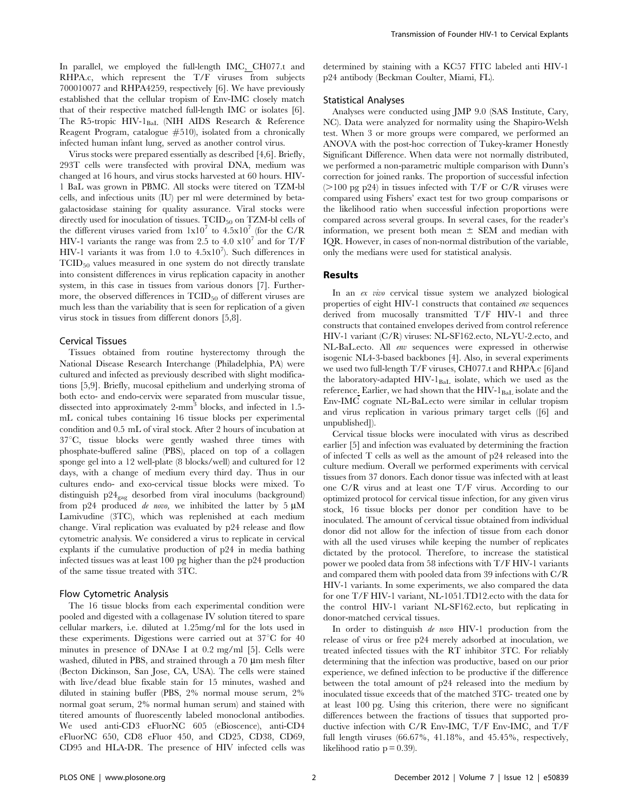In parallel, we employed the full-length IMC, CH077.t and RHPA.c, which represent the T/F viruses from subjects 700010077 and RHPA4259, respectively [6]. We have previously established that the cellular tropism of Env-IMC closely match that of their respective matched full-length IMC or isolates [6]. The R5-tropic HIV-1<sub>BaL</sub> (NIH AIDS Research & Reference Reagent Program, catalogue  $#510$ ), isolated from a chronically infected human infant lung, served as another control virus.

Virus stocks were prepared essentially as described [4,6]. Briefly, 293T cells were transfected with proviral DNA, medium was changed at 16 hours, and virus stocks harvested at 60 hours. HIV-1 BaL was grown in PBMC. All stocks were titered on TZM-bl cells, and infectious units (IU) per ml were determined by betagalactosidase staining for quality assurance. Viral stocks were directly used for inoculation of tissues.  $TCID_{50}$  on  $TZM$ -bl cells of the different viruses varied from  $1x10^7$  to  $4.5x10^7$  (for the C/R HIV-1 variants the range was from 2.5 to 4.0  $\times 10^7$  and for T/F HIV-1 variants it was from 1.0 to  $4.5x10<sup>7</sup>$ ). Such differences in TCID50 values measured in one system do not directly translate into consistent differences in virus replication capacity in another system, in this case in tissues from various donors [7]. Furthermore, the observed differences in  $TCID_{50}$  of different viruses are much less than the variability that is seen for replication of a given virus stock in tissues from different donors [5,8].

## Cervical Tissues

Tissues obtained from routine hysterectomy through the National Disease Research Interchange (Philadelphia, PA) were cultured and infected as previously described with slight modifications [5,9]. Briefly, mucosal epithelium and underlying stroma of both ecto- and endo-cervix were separated from muscular tissue, dissected into approximately 2-mm<sup>3</sup> blocks, and infected in 1.5mL conical tubes containing 16 tissue blocks per experimental condition and 0.5 mL of viral stock. After 2 hours of incubation at  $37^{\circ}$ C, tissue blocks were gently washed three times with phosphate-buffered saline (PBS), placed on top of a collagen sponge gel into a 12 well-plate (8 blocks/well) and cultured for 12 days, with a change of medium every third day. Thus in our cultures endo- and exo-cervical tissue blocks were mixed. To distinguish p24gag desorbed from viral inoculums (background) from p24 produced *de novo*, we inhibited the latter by  $5 \mu M$ Lamivudine (3TC), which was replenished at each medium change. Viral replication was evaluated by p24 release and flow cytometric analysis. We considered a virus to replicate in cervical explants if the cumulative production of p24 in media bathing infected tissues was at least 100 pg higher than the p24 production of the same tissue treated with 3TC.

#### Flow Cytometric Analysis

The 16 tissue blocks from each experimental condition were pooled and digested with a collagenase IV solution titered to spare cellular markers, i.e. diluted at 1.25mg/ml for the lots used in these experiments. Digestions were carried out at  $37^{\circ}$ C for 40 minutes in presence of DNAse I at 0.2 mg/ml [5]. Cells were washed, diluted in PBS, and strained through a  $70 \mu m$  mesh filter (Becton Dickinson, San Jose, CA, USA). The cells were stained with live/dead blue fixable stain for 15 minutes, washed and diluted in staining buffer (PBS, 2% normal mouse serum, 2% normal goat serum, 2% normal human serum) and stained with titered amounts of fluorescently labeled monoclonal antibodies. We used anti-CD3 eFluorNC 605 (eBioscence), anti-CD4 eFluorNC 650, CD8 eFluor 450, and CD25, CD38, CD69, CD95 and HLA-DR. The presence of HIV infected cells was determined by staining with a KC57 FITC labeled anti HIV-1 p24 antibody (Beckman Coulter, Miami, FL).

#### Statistical Analyses

Analyses were conducted using JMP 9.0 (SAS Institute, Cary, NC). Data were analyzed for normality using the Shapiro-Welsh test. When 3 or more groups were compared, we performed an ANOVA with the post-hoc correction of Tukey-kramer Honestly Significant Difference. When data were not normally distributed, we performed a non-parametric multiple comparison with Dunn's correction for joined ranks. The proportion of successful infection  $(>100 \text{ pg p24})$  in tissues infected with T/F or C/R viruses were compared using Fishers' exact test for two group comparisons or the likelihood ratio when successful infection proportions were compared across several groups. In several cases, for the reader's information, we present both mean  $\pm$  SEM and median with IQR. However, in cases of non-normal distribution of the variable, only the medians were used for statistical analysis.

#### Results

In an ex vivo cervical tissue system we analyzed biological properties of eight HIV-1 constructs that contained env sequences derived from mucosally transmitted T/F HIV-1 and three constructs that contained envelopes derived from control reference HIV-1 variant (C/R) viruses: NL-SF162.ecto, NL-YU-2.ecto, and NL-BaL.ecto. All env sequences were expressed in otherwise isogenic NL4-3-based backbones [4]. Also, in several experiments we used two full-length T/F viruses, CH077.t and RHPA.c [6]and the laboratory-adapted HIV-1<sub>BaL</sub> isolate, which we used as the reference. Earlier, we had shown that the HIV- $1_{\rm{BaL}}$  isolate and the Env-IMC cognate NL-BaL.ecto were similar in cellular tropism and virus replication in various primary target cells ([6] and unpublished]).

Cervical tissue blocks were inoculated with virus as described earlier [5] and infection was evaluated by determining the fraction of infected T cells as well as the amount of p24 released into the culture medium. Overall we performed experiments with cervical tissues from 37 donors. Each donor tissue was infected with at least one C/R virus and at least one T/F virus. According to our optimized protocol for cervical tissue infection, for any given virus stock, 16 tissue blocks per donor per condition have to be inoculated. The amount of cervical tissue obtained from individual donor did not allow for the infection of tissue from each donor with all the used viruses while keeping the number of replicates dictated by the protocol. Therefore, to increase the statistical power we pooled data from 58 infections with T/F HIV-1 variants and compared them with pooled data from 39 infections with C/R HIV-1 variants. In some experiments, we also compared the data for one T/F HIV-1 variant, NL-1051.TD12.ecto with the data for the control HIV-1 variant NL-SF162.ecto, but replicating in donor-matched cervical tissues.

In order to distinguish de novo HIV-1 production from the release of virus or free p24 merely adsorbed at inoculation, we treated infected tissues with the RT inhibitor 3TC. For reliably determining that the infection was productive, based on our prior experience, we defined infection to be productive if the difference between the total amount of p24 released into the medium by inoculated tissue exceeds that of the matched 3TC- treated one by at least 100 pg. Using this criterion, there were no significant differences between the fractions of tissues that supported productive infection with C/R Env-IMC, T/F Env-IMC, and T/F full length viruses (66.67%, 41.18%, and 45.45%, respectively, likelihood ratio  $p = 0.39$ ).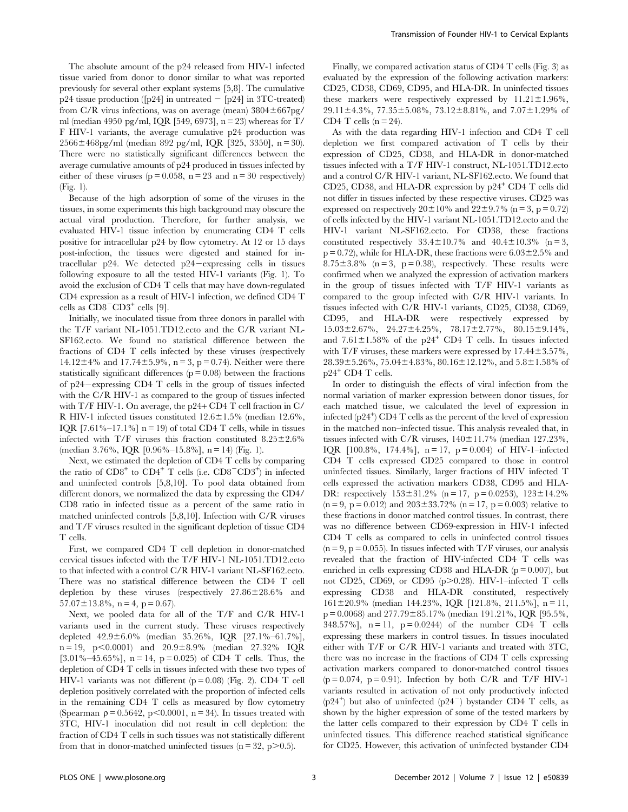The absolute amount of the p24 released from HIV-1 infected tissue varied from donor to donor similar to what was reported previously for several other explant systems [5,8]. The cumulative  $p24$  tissue production ([p24] in untreated  $-$  [p24] in 3TC-treated) from C/R virus infections, was on average (mean)  $3804 \pm 667$ pg/ ml (median 4950 pg/ml, IQR [549, 6973], n = 23) whereas for T/ F HIV-1 variants, the average cumulative p24 production was  $2566 \pm 468$ pg/ml (median 892 pg/ml, IQR [325, 3350], n = 30). There were no statistically significant differences between the average cumulative amounts of p24 produced in tissues infected by either of these viruses ( $p = 0.058$ ,  $n = 23$  and  $n = 30$  respectively) (Fig. 1).

Because of the high adsorption of some of the viruses in the tissues, in some experiments this high background may obscure the actual viral production. Therefore, for further analysis, we evaluated HIV-1 tissue infection by enumerating CD4 T cells positive for intracellular p24 by flow cytometry. At 12 or 15 days post-infection, the tissues were digested and stained for intracellular p24. We detected p24-expressing cells in tissues following exposure to all the tested HIV-1 variants (Fig. 1). To avoid the exclusion of CD4 T cells that may have down-regulated CD4 expression as a result of HIV-1 infection, we defined CD4 T cells as  $CD8$ <sup>- $CD3$ <sup>+</sup> cells [9].</sup>

Initially, we inoculated tissue from three donors in parallel with the T/F variant NL-1051.TD12.ecto and the C/R variant NL-SF162.ecto. We found no statistical difference between the fractions of CD4 T cells infected by these viruses (respectively 14.12 $\pm$ 4% and 17.74 $\pm$ 5.9%, n = 3, p = 0.74). Neither were there statistically significant differences  $(p = 0.08)$  between the fractions of  $p24$  expressing CD4 T cells in the group of tissues infected with the C/R HIV-1 as compared to the group of tissues infected with T/F HIV-1. On average, the p24+ CD4 T cell fraction in C/ R HIV-1 infected tissues constituted  $12.6 \pm 1.5\%$  (median 12.6%, IOR  $[7.61\% -17.1\%]$  n = 19) of total CD4 T cells, while in tissues infected with  $T/F$  viruses this fraction constituted  $8.25 \pm 2.6\%$ (median 3.76%, IQR  $[0.96\% - 15.8\%]$ , n = 14) (Fig. 1).

Next, we estimated the depletion of CD4 T cells by comparing the ratio of  $CD8^+$  to  $CD4^+$  T cells (i.e.  $CD8^-CD3^+$ ) in infected and uninfected controls [5,8,10]. To pool data obtained from different donors, we normalized the data by expressing the CD4/ CD8 ratio in infected tissue as a percent of the same ratio in matched uninfected controls [5,8,10]. Infection with C/R viruses and T/F viruses resulted in the significant depletion of tissue CD4 T cells.

First, we compared CD4 T cell depletion in donor-matched cervical tissues infected with the T/F HIV-1 NL-1051.TD12.ecto to that infected with a control C/R HIV-1 variant NL-SF162.ecto. There was no statistical difference between the CD4 T cell depletion by these viruses (respectively  $27.86 \pm 28.6\%$  and  $57.07 \pm 13.8\%$ , n = 4, p = 0.67).

Next, we pooled data for all of the T/F and C/R HIV-1 variants used in the current study. These viruses respectively depleted  $42.9 \pm 6.0\%$  (median 35.26%, IQR [27.1%–61.7%],  $n = 19$ ,  $p < 0.0001$  and  $20.9 \pm 8.9$ % (median 27.32% IQR [3.01%–45.65%], n = 14, p = 0.025) of CD4 T cells. Thus, the depletion of CD4 T cells in tissues infected with these two types of HIV-1 variants was not different  $(p = 0.08)$  (Fig. 2). CD4 T cell depletion positively correlated with the proportion of infected cells in the remaining CD4 T cells as measured by flow cytometry (Spearman  $\rho = 0.5642$ ,  $p < 0.0001$ ,  $n = 34$ ). In tissues treated with 3TC, HIV-1 inoculation did not result in cell depletion: the fraction of CD4 T cells in such tissues was not statistically different from that in donor-matched uninfected tissues ( $n = 32$ ,  $p > 0.5$ ).

Finally, we compared activation status of CD4 T cells (Fig. 3) as evaluated by the expression of the following activation markers: CD25, CD38, CD69, CD95, and HLA-DR. In uninfected tissues these markers were respectively expressed by  $11.21 \pm 1.96\%$ ,  $29.11 \pm 4.3\%$ ,  $77.35 \pm 5.08\%$ ,  $73.12 \pm 8.81\%$ , and  $7.07 \pm 1.29\%$  of CD4 T cells  $(n = 24)$ .

As with the data regarding HIV-1 infection and CD4 T cell depletion we first compared activation of T cells by their expression of CD25, CD38, and HLA-DR in donor-matched tissues infected with a T/F HIV-1 construct, NL-1051.TD12.ecto and a control C/R HIV-1 variant, NL-SF162.ecto. We found that CD25, CD38, and HLA-DR expression by  $p24^+$  CD4 T cells did not differ in tissues infected by these respective viruses. CD25 was expressed on respectively  $20\pm10\%$  and  $22\pm9.7\%$  (n = 3, p = 0.72) of cells infected by the HIV-1 variant NL-1051.TD12.ecto and the HIV-1 variant NL-SF162.ecto. For CD38, these fractions constituted respectively  $33.4 \pm 10.7\%$  and  $40.4 \pm 10.3\%$  (n = 3,  $p = 0.72$ , while for HLA-DR, these fractions were  $6.03 \pm 2.5$ % and  $8.75\pm3.8\%$  (n = 3, p = 0.38), respectively. These results were confirmed when we analyzed the expression of activation markers in the group of tissues infected with T/F HIV-1 variants as compared to the group infected with C/R HIV-1 variants. In tissues infected with C/R HIV-1 variants, CD25, CD38, CD69, CD95, and HLA-DR were respectively expressed by  $15.03\pm2.67\%$ ,  $24.27\pm4.25\%$ ,  $78.17\pm2.77\%$ ,  $80.15\pm9.14\%$ , and  $7.61\pm1.58\%$  of the p24<sup>+</sup> CD4 T cells. In tissues infected with T/F viruses, these markers were expressed by  $17.44 \pm 3.57\%$ ,  $28.39\pm5.26\%$ ,  $75.04\pm4.83\%$ ,  $80.16\pm12.12\%$ , and  $5.8\pm1.58\%$  of  $p24$ <sup>+</sup> CD4 T cells.

In order to distinguish the effects of viral infection from the normal variation of marker expression between donor tissues, for each matched tissue, we calculated the level of expression in infected  $(p24^+)$  CD4 T cells as the percent of the level of expression in the matched non–infected tissue. This analysis revealed that, in tissues infected with C/R viruses,  $140 \pm 11.7\%$  (median 127.23%, IQR  $[100.8\%, 174.4\%]$ , n = 17, p = 0.004) of HIV-1–infected CD4 T cells expressed CD25 compared to those in control uninfected tissues. Similarly, larger fractions of HIV infected T cells expressed the activation markers CD38, CD95 and HLA-DR: respectively  $153\pm31.2\%$  (n = 17, p = 0.0253),  $123\pm14.2\%$  $(n = 9, p = 0.012)$  and  $203 \pm 33.72\%$   $(n = 17, p = 0.003)$  relative to these fractions in donor matched control tissues. In contrast, there was no difference between CD69-expression in HIV-1 infected CD4 T cells as compared to cells in uninfected control tissues  $(n = 9, p = 0.055)$ . In tissues infected with T/F viruses, our analysis revealed that the fraction of HIV-infected CD4 T cells was enriched in cells expressing CD38 and HLA-DR ( $p = 0.007$ ), but not CD25, CD69, or CD95 (p $>0.28$ ). HIV-1–infected T cells expressing CD38 and HLA-DR constituted, respectively  $161 \pm 20.9\%$  (median 144.23%, IQR [121.8%, 211.5%], n = 11,  $p = 0.0068$ ) and  $277.79 \pm 85.17$ % (median 191.21%, IQR [95.5%, 348.57%],  $n = 11$ ,  $p = 0.0244$  of the number CD4 T cells expressing these markers in control tissues. In tissues inoculated either with T/F or C/R HIV-1 variants and treated with 3TC, there was no increase in the fractions of CD4 T cells expressing activation markers compared to donor-matched control tissues  $(p=0.074, p=0.91)$ . Infection by both C/R and T/F HIV-1 variants resulted in activation of not only productively infected  $(p24^+)$  but also of uninfected  $(p24^-)$  bystander CD4 T cells, as shown by the higher expression of some of the tested markers by the latter cells compared to their expression by CD4 T cells in uninfected tissues. This difference reached statistical significance for CD25. However, this activation of uninfected bystander CD4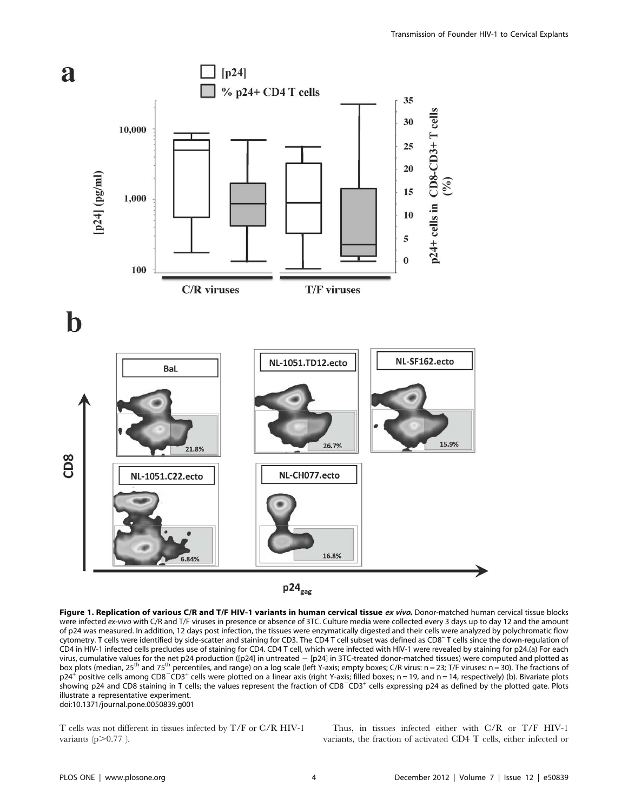

Figure 1. Replication of various C/R and T/F HIV-1 variants in human cervical tissue ex vivo. Donor-matched human cervical tissue blocks were infected ex-vivo with C/R and T/F viruses in presence or absence of 3TC. Culture media were collected every 3 days up to day 12 and the amount of p24 was measured. In addition, 12 days post infection, the tissues were enzymatically digested and their cells were analyzed by polychromatic flow cytometry. T cells were identified by side-scatter and staining for CD3. The CD4 T cell subset was defined as CD8– T cells since the down-regulation of CD4 in HIV-1 infected cells precludes use of staining for CD4. CD4 T cell, which were infected with HIV-1 were revealed by staining for p24.(a) For each virus, cumulative values for the net p24 production ([p24] in untreated - [p24] in 3TC-treated donor-matched tissues) were computed and plotted as box plots (median, 25<sup>th</sup> and 75<sup>th</sup> percentiles, and range) on a log scale (left Y-axis; empty boxes; C/R virus: n = 23; T/F viruses: n = 30). The fractions of  $p24^+$  positive cells among CD8<sup>-</sup>CD3<sup>+</sup> cells were plotted on a linear axis (right Y-axis; filled boxes; n = 19, and n = 14, respectively) (b). Bivariate plots showing p24 and CD8 staining in T cells; the values represent the fraction of CD8<sup>-</sup>CD3<sup>+</sup> cells expressing p24 as defined by the plotted gate. Plots illustrate a representative experiment. doi:10.1371/journal.pone.0050839.g001

T cells was not different in tissues infected by T/F or C/R HIV-1 variants  $(p>0.77)$ .

Thus, in tissues infected either with C/R or T/F HIV-1 variants, the fraction of activated CD4 T cells, either infected or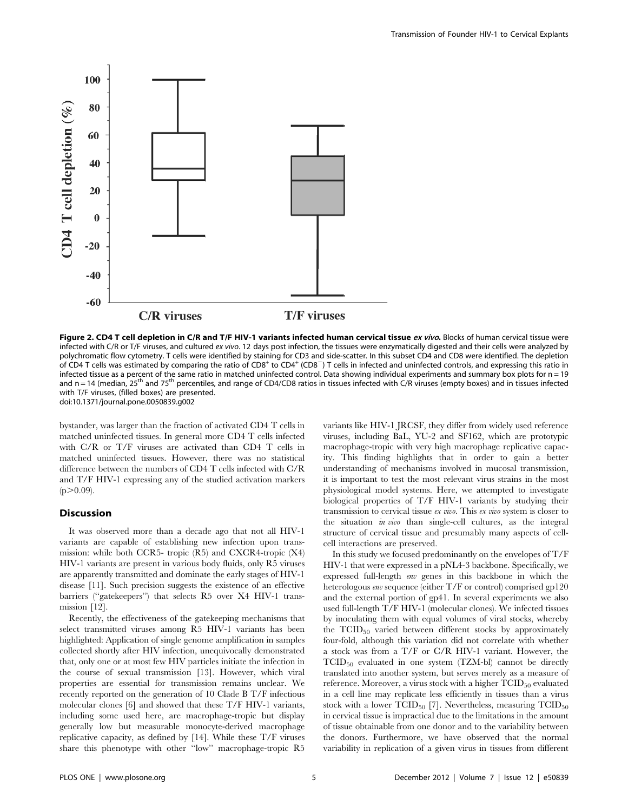

Figure 2. CD4 T cell depletion in C/R and T/F HIV-1 variants infected human cervical tissue ex vivo. Blocks of human cervical tissue were infected with C/R or T/F viruses, and cultured ex vivo. 12 days post infection, the tissues were enzymatically digested and their cells were analyzed by polychromatic flow cytometry. T cells were identified by staining for CD3 and side-scatter. In this subset CD4 and CD8 were identified. The depletion of CD4 T cells was estimated by comparing the ratio of  $CDB^+$  to  $CDA^+$  (CD8<sup>-</sup>) T cells in infected and uninfected controls, and expressing this ratio in infected tissue as a percent of the same ratio in matched uninfected control. Data showing individual experiments and summary box plots for n = 19 and n = 14 (median, 25<sup>th</sup> and 75<sup>th</sup> percentiles, and range of CD4/CD8 ratios in tissues infected with C/R viruses (empty boxes) and in tissues infected with T/F viruses, (filled boxes) are presented. doi:10.1371/journal.pone.0050839.g002

bystander, was larger than the fraction of activated CD4 T cells in matched uninfected tissues. In general more CD4 T cells infected with C/R or T/F viruses are activated than CD4 T cells in matched uninfected tissues. However, there was no statistical difference between the numbers of CD4 T cells infected with C/R and T/F HIV-1 expressing any of the studied activation markers  $(p>0.09)$ .

# **Discussion**

It was observed more than a decade ago that not all HIV-1 variants are capable of establishing new infection upon transmission: while both CCR5- tropic (R5) and CXCR4-tropic (X4) HIV-1 variants are present in various body fluids, only R5 viruses are apparently transmitted and dominate the early stages of HIV-1 disease [11]. Such precision suggests the existence of an effective barriers ("gatekeepers") that selects R5 over X4 HIV-1 transmission [12].

Recently, the effectiveness of the gatekeeping mechanisms that select transmitted viruses among R5 HIV-1 variants has been highlighted: Application of single genome amplification in samples collected shortly after HIV infection, unequivocally demonstrated that, only one or at most few HIV particles initiate the infection in the course of sexual transmission [13]. However, which viral properties are essential for transmission remains unclear. We recently reported on the generation of 10 Clade B T/F infectious molecular clones [6] and showed that these T/F HIV-1 variants, including some used here, are macrophage-tropic but display generally low but measurable monocyte-derived macrophage replicative capacity, as defined by [14]. While these T/F viruses share this phenotype with other ''low'' macrophage-tropic R5 variants like HIV-1 JRCSF, they differ from widely used reference viruses, including BaL, YU-2 and SF162, which are prototypic macrophage-tropic with very high macrophage replicative capacity. This finding highlights that in order to gain a better understanding of mechanisms involved in mucosal transmission, it is important to test the most relevant virus strains in the most physiological model systems. Here, we attempted to investigate biological properties of T/F HIV-1 variants by studying their transmission to cervical tissue ex vivo. This ex vivo system is closer to the situation in vivo than single-cell cultures, as the integral structure of cervical tissue and presumably many aspects of cellcell interactions are preserved.

In this study we focused predominantly on the envelopes of  $T/F$ HIV-1 that were expressed in a pNL4-3 backbone. Specifically, we expressed full-length env genes in this backbone in which the heterologous env sequence (either T/F or control) comprised gp120 and the external portion of gp41. In several experiments we also used full-length T/F HIV-1 (molecular clones). We infected tissues by inoculating them with equal volumes of viral stocks, whereby the  $TCID_{50}$  varied between different stocks by approximately four-fold, although this variation did not correlate with whether a stock was from a T/F or C/R HIV-1 variant. However, the TCID50 evaluated in one system (TZM-bl) cannot be directly translated into another system, but serves merely as a measure of reference. Moreover, a virus stock with a higher  $TCID_{50}$  evaluated in a cell line may replicate less efficiently in tissues than a virus stock with a lower TCID<sub>50</sub> [7]. Nevertheless, measuring  $TCID_{50}$ in cervical tissue is impractical due to the limitations in the amount of tissue obtainable from one donor and to the variability between the donors. Furthermore, we have observed that the normal variability in replication of a given virus in tissues from different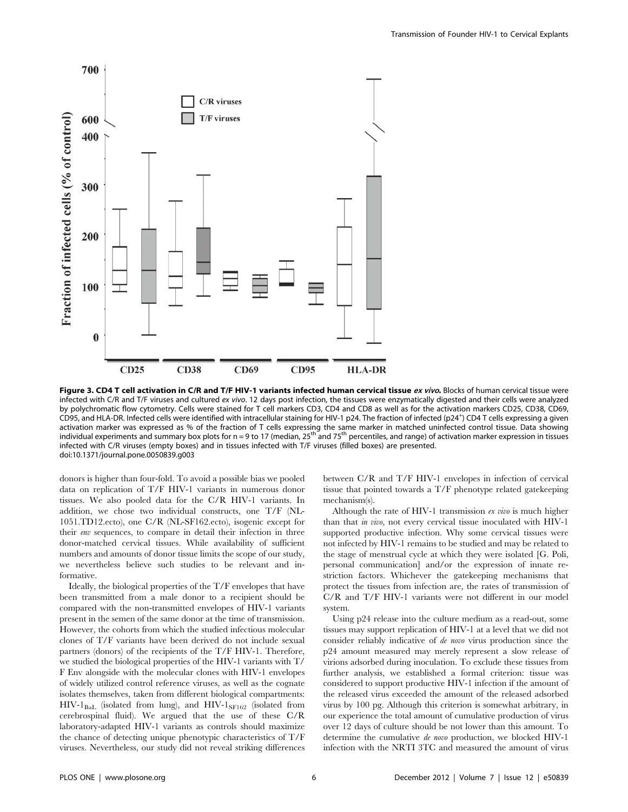

Figure 3. CD4 T cell activation in C/R and T/F HIV-1 variants infected human cervical tissue ex vivo. Blocks of human cervical tissue were infected with C/R and T/F viruses and cultured ex vivo. 12 days post infection, the tissues were enzymatically digested and their cells were analyzed by polychromatic flow cytometry. Cells were stained for T cell markers CD3, CD4 and CD8 as well as for the activation markers CD25, CD38, CD69, CD95, and HLA-DR. Infected cells were identified with intracellular staining for HIV-1 p24. The fraction of infected (p24<sup>+</sup> ) CD4 T cells expressing a given activation marker was expressed as % of the fraction of T cells expressing the same marker in matched uninfected control tissue. Data showing individual experiments and summary box plots for  $n = 9$  to 17 (median, 25<sup>th</sup> and 75<sup>th</sup> percentiles, and range) of activation marker expression in tissues infected with C/R viruses (empty boxes) and in tissues infected with T/F viruses (filled boxes) are presented. doi:10.1371/journal.pone.0050839.g003

donors is higher than four-fold. To avoid a possible bias we pooled data on replication of T/F HIV-1 variants in numerous donor tissues. We also pooled data for the C/R HIV-1 variants. In addition, we chose two individual constructs, one T/F (NL-1051.TD12.ecto), one C/R (NL-SF162.ecto), isogenic except for their env sequences, to compare in detail their infection in three donor-matched cervical tissues. While availability of sufficient numbers and amounts of donor tissue limits the scope of our study, we nevertheless believe such studies to be relevant and informative.

Ideally, the biological properties of the T/F envelopes that have been transmitted from a male donor to a recipient should be compared with the non-transmitted envelopes of HIV-1 variants present in the semen of the same donor at the time of transmission. However, the cohorts from which the studied infectious molecular clones of T/F variants have been derived do not include sexual partners (donors) of the recipients of the T/F HIV-1. Therefore, we studied the biological properties of the HIV-1 variants with T/ F Env alongside with the molecular clones with HIV-1 envelopes of widely utilized control reference viruses, as well as the cognate isolates themselves, taken from different biological compartments:  $HIV-1_{BaL}$  (isolated from lung), and  $HIV-1_{SF162}$  (isolated from cerebrospinal fluid). We argued that the use of these C/R laboratory-adapted HIV-1 variants as controls should maximize the chance of detecting unique phenotypic characteristics of T/F viruses. Nevertheless, our study did not reveal striking differences between C/R and T/F HIV-1 envelopes in infection of cervical tissue that pointed towards a T/F phenotype related gatekeeping mechanism(s).

Although the rate of HIV-1 transmission ex vivo is much higher than that in vivo, not every cervical tissue inoculated with HIV-1 supported productive infection. Why some cervical tissues were not infected by HIV-1 remains to be studied and may be related to the stage of menstrual cycle at which they were isolated [G. Poli, personal communication] and/or the expression of innate restriction factors. Whichever the gatekeeping mechanisms that protect the tissues from infection are, the rates of transmission of C/R and T/F HIV-1 variants were not different in our model system.

Using p24 release into the culture medium as a read-out, some tissues may support replication of HIV-1 at a level that we did not consider reliably indicative of de novo virus production since the p24 amount measured may merely represent a slow release of virions adsorbed during inoculation. To exclude these tissues from further analysis, we established a formal criterion: tissue was considered to support productive HIV-1 infection if the amount of the released virus exceeded the amount of the released adsorbed virus by 100 pg. Although this criterion is somewhat arbitrary, in our experience the total amount of cumulative production of virus over 12 days of culture should be not lower than this amount. To determine the cumulative de novo production, we blocked HIV-1 infection with the NRTI 3TC and measured the amount of virus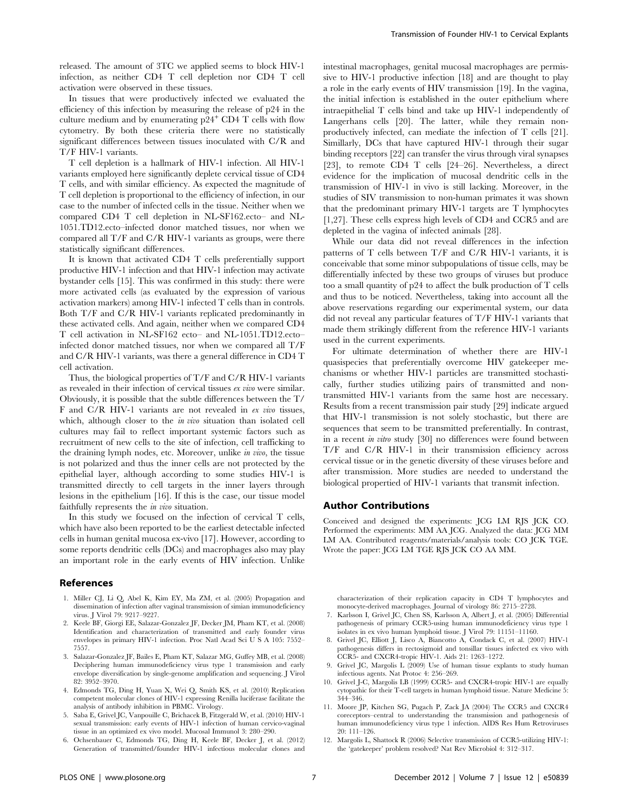released. The amount of 3TC we applied seems to block HIV-1 infection, as neither CD4 T cell depletion nor CD4 T cell activation were observed in these tissues.

In tissues that were productively infected we evaluated the efficiency of this infection by measuring the release of p24 in the culture medium and by enumerating  $p24^+$  CD4 T cells with flow cytometry. By both these criteria there were no statistically significant differences between tissues inoculated with C/R and T/F HIV-1 variants.

T cell depletion is a hallmark of HIV-1 infection. All HIV-1 variants employed here significantly deplete cervical tissue of CD4 T cells, and with similar efficiency. As expected the magnitude of T cell depletion is proportional to the efficiency of infection, in our case to the number of infected cells in the tissue. Neither when we compared CD4 T cell depletion in NL-SF162.ecto– and NL-1051.TD12.ecto–infected donor matched tissues, nor when we compared all T/F and C/R HIV-1 variants as groups, were there statistically significant differences.

It is known that activated CD4 T cells preferentially support productive HIV-1 infection and that HIV-1 infection may activate bystander cells [15]. This was confirmed in this study: there were more activated cells (as evaluated by the expression of various activation markers) among HIV-1 infected T cells than in controls. Both T/F and C/R HIV-1 variants replicated predominantly in these activated cells. And again, neither when we compared CD4 T cell activation in NL-SF162 ecto– and NL-1051.TD12.ecto– infected donor matched tissues, nor when we compared all T/F and C/R HIV-1 variants, was there a general difference in CD4 T cell activation.

Thus, the biological properties of T/F and C/R HIV-1 variants as revealed in their infection of cervical tissues ex vivo were similar. Obviously, it is possible that the subtle differences between the T/ F and C/R HIV-1 variants are not revealed in ex vivo tissues, which, although closer to the *in vivo* situation than isolated cell cultures may fail to reflect important systemic factors such as recruitment of new cells to the site of infection, cell trafficking to the draining lymph nodes, etc. Moreover, unlike in vivo, the tissue is not polarized and thus the inner cells are not protected by the epithelial layer, although according to some studies HIV-1 is transmitted directly to cell targets in the inner layers through lesions in the epithelium [16]. If this is the case, our tissue model faithfully represents the in vivo situation.

In this study we focused on the infection of cervical T cells, which have also been reported to be the earliest detectable infected cells in human genital mucosa ex-vivo [17]. However, according to some reports dendritic cells (DCs) and macrophages also may play an important role in the early events of HIV infection. Unlike

#### References

- 1. Miller CJ, Li Q, Abel K, Kim EY, Ma ZM, et al. (2005) Propagation and dissemination of infection after vaginal transmission of simian immunodeficiency virus. J Virol 79: 9217–9227.
- 2. Keele BF, Giorgi EE, Salazar-Gonzalez JF, Decker JM, Pham KT, et al. (2008) Identification and characterization of transmitted and early founder virus envelopes in primary HIV-1 infection. Proc Natl Acad Sci U S A 105: 7552– 7557.
- 3. Salazar-Gonzalez JF, Bailes E, Pham KT, Salazar MG, Guffey MB, et al. (2008) Deciphering human immunodeficiency virus type 1 transmission and early envelope diversification by single-genome amplification and sequencing. J Virol 82: 3952–3970.
- 4. Edmonds TG, Ding H, Yuan X, Wei Q, Smith KS, et al. (2010) Replication competent molecular clones of HIV-1 expressing Renilla luciferase facilitate the analysis of antibody inhibition in PBMC. Virology.
- 5. Saba E, Grivel JC, Vanpouille C, Brichacek B, Fitzgerald W, et al. (2010) HIV-1 sexual transmission: early events of HIV-1 infection of human cervico-vaginal tissue in an optimized ex vivo model. Mucosal Immunol 3: 280–290.
- 6. Ochsenbauer C, Edmonds TG, Ding H, Keele BF, Decker J, et al. (2012) Generation of transmitted/founder HIV-1 infectious molecular clones and

intestinal macrophages, genital mucosal macrophages are permissive to HIV-1 productive infection [18] and are thought to play a role in the early events of HIV transmission [19]. In the vagina, the initial infection is established in the outer epithelium where intraepithelial T cells bind and take up HIV-1 independently of Langerhans cells [20]. The latter, while they remain nonproductively infected, can mediate the infection of T cells [21]. Simillarly, DCs that have captured HIV-1 through their sugar binding receptors [22] can transfer the virus through viral synapses [23], to remote CD4 T cells [24–26]. Nevertheless, a direct evidence for the implication of mucosal dendritic cells in the transmission of HIV-1 in vivo is still lacking. Moreover, in the studies of SIV transmission to non-human primates it was shown that the predominant primary HIV-1 targets are T lymphocytes [1,27]. These cells express high levels of CD4 and CCR5 and are depleted in the vagina of infected animals [28].

While our data did not reveal differences in the infection patterns of T cells between T/F and C/R HIV-1 variants, it is conceivable that some minor subpopulations of tissue cells, may be differentially infected by these two groups of viruses but produce too a small quantity of p24 to affect the bulk production of T cells and thus to be noticed. Nevertheless, taking into account all the above reservations regarding our experimental system, our data did not reveal any particular features of T/F HIV-1 variants that made them strikingly different from the reference HIV-1 variants used in the current experiments.

For ultimate determination of whether there are HIV-1 quasispecies that preferentially overcome HIV gatekeeper mechanisms or whether HIV-1 particles are transmitted stochastically, further studies utilizing pairs of transmitted and nontransmitted HIV-1 variants from the same host are necessary. Results from a recent transmission pair study [29] indicate argued that HIV-1 transmission is not solely stochastic, but there are sequences that seem to be transmitted preferentially. In contrast, in a recent in vitro study [30] no differences were found between T/F and C/R HIV-1 in their transmission efficiency across cervical tissue or in the genetic diversity of these viruses before and after transmission. More studies are needed to understand the biological propertied of HIV-1 variants that transmit infection.

#### Author Contributions

Conceived and designed the experiments: JCG LM RJS JCK CO. Performed the experiments: MM AA JCG. Analyzed the data: JCG MM LM AA. Contributed reagents/materials/analysis tools: CO JCK TGE. Wrote the paper: JCG LM TGE RJS JCK CO AA MM.

characterization of their replication capacity in CD4 T lymphocytes and monocyte-derived macrophages. Journal of virology 86: 2715–2728.

- 7. Karlsson I, Grivel JC, Chen SS, Karlsson A, Albert J, et al. (2005) Differential pathogenesis of primary CCR5-using human immunodeficiency virus type 1 isolates in ex vivo human lymphoid tissue. J Virol 79: 11151–11160.
- 8. Grivel JC, Elliott J, Lisco A, Biancotto A, Condack C, et al. (2007) HIV-1 pathogenesis differs in rectosigmoid and tonsillar tissues infected ex vivo with CCR5- and CXCR4-tropic HIV-1. Aids 21: 1263–1272.
- 9. Grivel JC, Margolis L (2009) Use of human tissue explants to study human infectious agents. Nat Protoc 4: 256–269.
- 10. Grivel J-C, Margolis LB (1999) CCR5- and CXCR4-tropic HIV-1 are equally cytopathic for their T-cell targets in human lymphoid tissue. Nature Medicine 5: 344–346.
- 11. Moore JP, Kitchen SG, Pugach P, Zack JA (2004) The CCR5 and CXCR4 coreceptors–central to understanding the transmission and pathogenesis of human immunodeficiency virus type 1 infection. AIDS Res Hum Retroviruses 20: 111–126.
- 12. Margolis L, Shattock R (2006) Selective transmission of CCR5-utilizing HIV-1: the 'gatekeeper' problem resolved? Nat Rev Microbiol 4: 312–317.